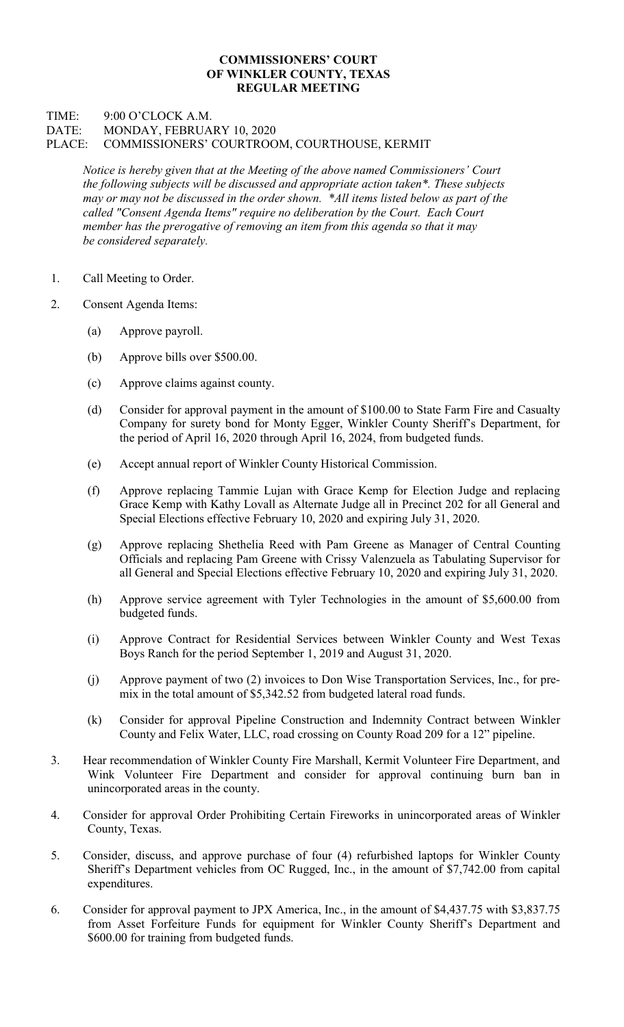## COMMISSIONERS' COURT OF WINKLER COUNTY, TEXAS REGULAR MEETING

## TIME: 9:00 O'CLOCK A.M. DATE: MONDAY, FEBRUARY 10, 2020 PLACE: COMMISSIONERS' COURTROOM, COURTHOUSE, KERMIT

Notice is hereby given that at the Meeting of the above named Commissioners' Court the following subjects will be discussed and appropriate action taken\*. These subjects may or may not be discussed in the order shown. \*All items listed below as part of the called "Consent Agenda Items" require no deliberation by the Court. Each Court member has the prerogative of removing an item from this agenda so that it may be considered separately.

- 1. Call Meeting to Order.
- 2. Consent Agenda Items:
	- (a) Approve payroll.
	- (b) Approve bills over \$500.00.
	- (c) Approve claims against county.
	- (d) Consider for approval payment in the amount of \$100.00 to State Farm Fire and Casualty Company for surety bond for Monty Egger, Winkler County Sheriff's Department, for the period of April 16, 2020 through April 16, 2024, from budgeted funds.
	- (e) Accept annual report of Winkler County Historical Commission.
	- (f) Approve replacing Tammie Lujan with Grace Kemp for Election Judge and replacing Grace Kemp with Kathy Lovall as Alternate Judge all in Precinct 202 for all General and Special Elections effective February 10, 2020 and expiring July 31, 2020.
	- (g) Approve replacing Shethelia Reed with Pam Greene as Manager of Central Counting Officials and replacing Pam Greene with Crissy Valenzuela as Tabulating Supervisor for all General and Special Elections effective February 10, 2020 and expiring July 31, 2020.
	- (h) Approve service agreement with Tyler Technologies in the amount of \$5,600.00 from budgeted funds.
	- (i) Approve Contract for Residential Services between Winkler County and West Texas Boys Ranch for the period September 1, 2019 and August 31, 2020.
	- (j) Approve payment of two (2) invoices to Don Wise Transportation Services, Inc., for premix in the total amount of \$5,342.52 from budgeted lateral road funds.
	- (k) Consider for approval Pipeline Construction and Indemnity Contract between Winkler County and Felix Water, LLC, road crossing on County Road 209 for a 12" pipeline.
- 3. Hear recommendation of Winkler County Fire Marshall, Kermit Volunteer Fire Department, and Wink Volunteer Fire Department and consider for approval continuing burn ban in unincorporated areas in the county.
- 4. Consider for approval Order Prohibiting Certain Fireworks in unincorporated areas of Winkler County, Texas.
- 5. Consider, discuss, and approve purchase of four (4) refurbished laptops for Winkler County Sheriff's Department vehicles from OC Rugged, Inc., in the amount of \$7,742.00 from capital expenditures.
- 6. Consider for approval payment to JPX America, Inc., in the amount of \$4,437.75 with \$3,837.75 from Asset Forfeiture Funds for equipment for Winkler County Sheriff's Department and \$600.00 for training from budgeted funds.